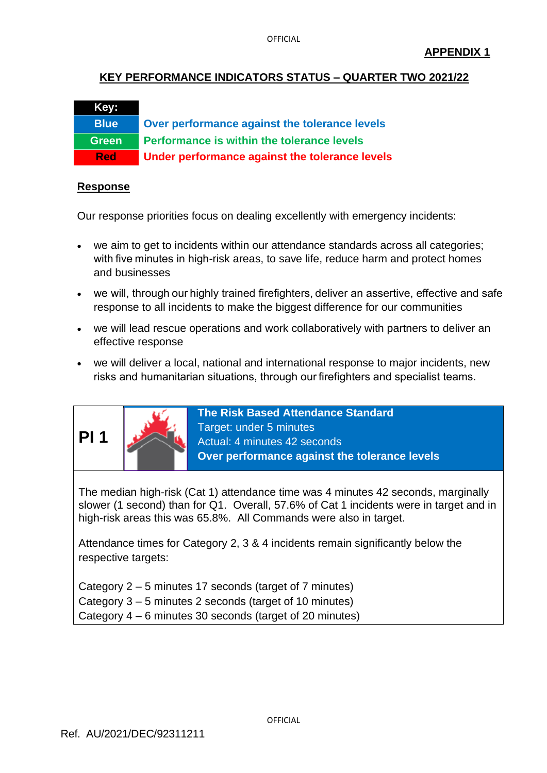## **KEY PERFORMANCE INDICATORS STATUS – QUARTER TWO 2021/22**

# **Key:**

**Blue Over performance against the tolerance levels Green Performance is within the tolerance levels Red Under performance against the tolerance levels**

#### **Response**

Our response priorities focus on dealing excellently with emergency incidents:

- we aim to get to incidents within our attendance standards across all categories; with five minutes in high-risk areas, to save life, reduce harm and protect homes and businesses
- we will, through our highly trained firefighters, deliver an assertive, effective and safe response to all incidents to make the biggest difference for our communities
- we will lead rescue operations and work collaboratively with partners to deliver an effective response
- we will deliver a local, national and international response to major incidents, new risks and humanitarian situations, through our firefighters and specialist teams.



**The Risk Based Attendance Standard** Target: under 5 minutes Actual: 4 minutes 42 seconds **Over performance against the tolerance levels**

The median high-risk (Cat 1) attendance time was 4 minutes 42 seconds, marginally slower (1 second) than for Q1. Overall, 57.6% of Cat 1 incidents were in target and in high-risk areas this was 65.8%. All Commands were also in target.

Attendance times for Category 2, 3 & 4 incidents remain significantly below the respective targets:

Category 2 – 5 minutes 17 seconds (target of 7 minutes) Category 3 – 5 minutes 2 seconds (target of 10 minutes) Category 4 – 6 minutes 30 seconds (target of 20 minutes)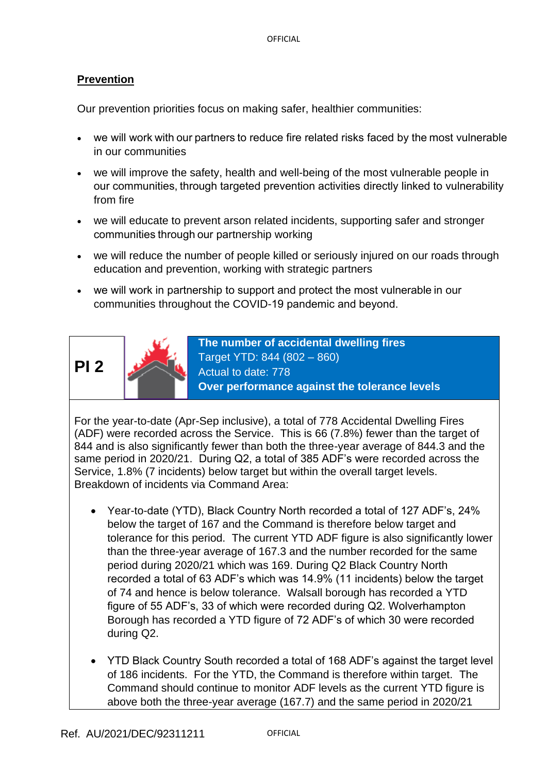## **Prevention**

Our prevention priorities focus on making safer, healthier communities:

- we will work with our partners to reduce fire related risks faced by the most vulnerable in our communities
- we will improve the safety, health and well-being of the most vulnerable people in our communities, through targeted prevention activities directly linked to vulnerability from fire
- we will educate to prevent arson related incidents, supporting safer and stronger communities through our partnership working
- we will reduce the number of people killed or seriously injured on our roads through education and prevention, working with strategic partners
- we will work in partnership to support and protect the most vulnerable in our communities throughout the COVID-19 pandemic and beyond.





**The number of accidental dwelling fires** Target YTD: 844 (802 – 860) Actual to date: 778 **Over performance against the tolerance levels**

For the year-to-date (Apr-Sep inclusive), a total of 778 Accidental Dwelling Fires (ADF) were recorded across the Service. This is 66 (7.8%) fewer than the target of 844 and is also significantly fewer than both the three-year average of 844.3 and the same period in 2020/21. During Q2, a total of 385 ADF's were recorded across the Service, 1.8% (7 incidents) below target but within the overall target levels. Breakdown of incidents via Command Area:

- Year-to-date (YTD), Black Country North recorded a total of 127 ADF's, 24% below the target of 167 and the Command is therefore below target and tolerance for this period. The current YTD ADF figure is also significantly lower than the three-year average of 167.3 and the number recorded for the same period during 2020/21 which was 169. During Q2 Black Country North recorded a total of 63 ADF's which was 14.9% (11 incidents) below the target of 74 and hence is below tolerance. Walsall borough has recorded a YTD figure of 55 ADF's, 33 of which were recorded during Q2. Wolverhampton Borough has recorded a YTD figure of 72 ADF's of which 30 were recorded during Q2.
- YTD Black Country South recorded a total of 168 ADF's against the target level of 186 incidents. For the YTD, the Command is therefore within target. The Command should continue to monitor ADF levels as the current YTD figure is above both the three-year average (167.7) and the same period in 2020/21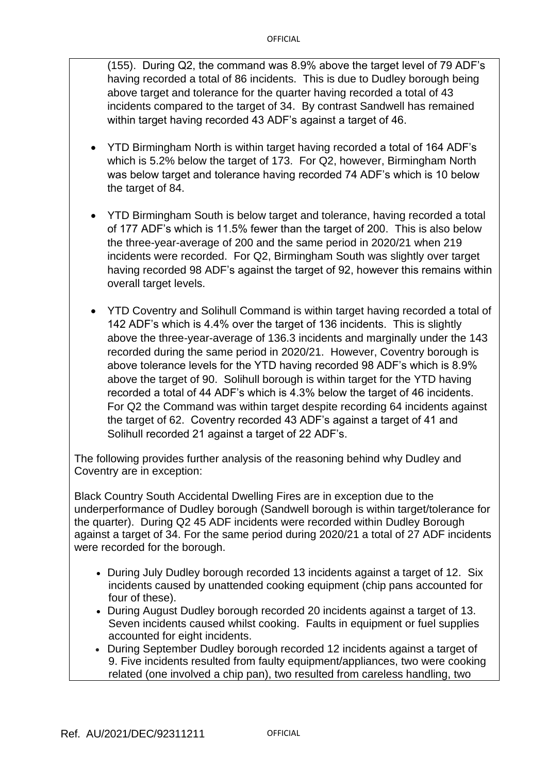(155). During Q2, the command was 8.9% above the target level of 79 ADF's having recorded a total of 86 incidents. This is due to Dudley borough being above target and tolerance for the quarter having recorded a total of 43 incidents compared to the target of 34. By contrast Sandwell has remained within target having recorded 43 ADF's against a target of 46.

- YTD Birmingham North is within target having recorded a total of 164 ADF's which is 5.2% below the target of 173. For Q2, however, Birmingham North was below target and tolerance having recorded 74 ADF's which is 10 below the target of 84.
- YTD Birmingham South is below target and tolerance, having recorded a total of 177 ADF's which is 11.5% fewer than the target of 200. This is also below the three-year-average of 200 and the same period in 2020/21 when 219 incidents were recorded. For Q2, Birmingham South was slightly over target having recorded 98 ADF's against the target of 92, however this remains within overall target levels.
- YTD Coventry and Solihull Command is within target having recorded a total of 142 ADF's which is 4.4% over the target of 136 incidents. This is slightly above the three-year-average of 136.3 incidents and marginally under the 143 recorded during the same period in 2020/21. However, Coventry borough is above tolerance levels for the YTD having recorded 98 ADF's which is 8.9% above the target of 90. Solihull borough is within target for the YTD having recorded a total of 44 ADF's which is 4.3% below the target of 46 incidents. For Q2 the Command was within target despite recording 64 incidents against the target of 62. Coventry recorded 43 ADF's against a target of 41 and Solihull recorded 21 against a target of 22 ADF's.

The following provides further analysis of the reasoning behind why Dudley and Coventry are in exception:

Black Country South Accidental Dwelling Fires are in exception due to the underperformance of Dudley borough (Sandwell borough is within target/tolerance for the quarter). During Q2 45 ADF incidents were recorded within Dudley Borough against a target of 34. For the same period during 2020/21 a total of 27 ADF incidents were recorded for the borough.

- During July Dudley borough recorded 13 incidents against a target of 12. Six incidents caused by unattended cooking equipment (chip pans accounted for four of these).
- During August Dudley borough recorded 20 incidents against a target of 13. Seven incidents caused whilst cooking. Faults in equipment or fuel supplies accounted for eight incidents.
- During September Dudley borough recorded 12 incidents against a target of 9. Five incidents resulted from faulty equipment/appliances, two were cooking related (one involved a chip pan), two resulted from careless handling, two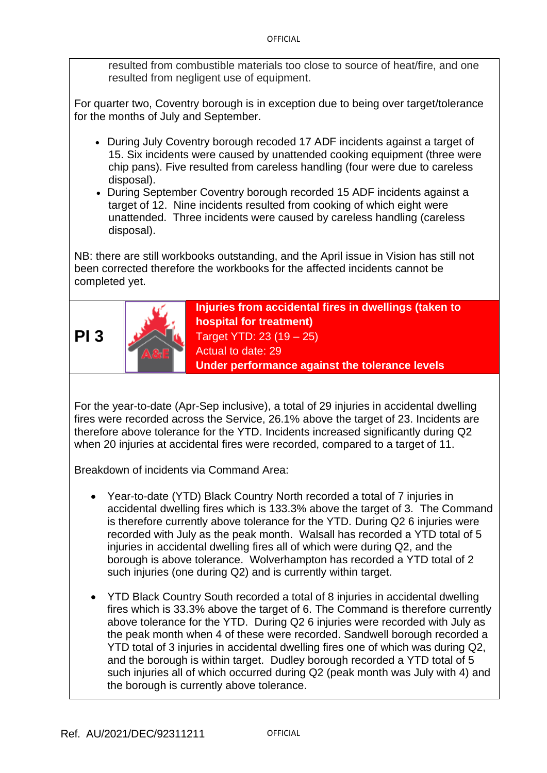resulted from combustible materials too close to source of heat/fire, and one resulted from negligent use of equipment.

For quarter two, Coventry borough is in exception due to being over target/tolerance for the months of July and September.

- During July Coventry borough recoded 17 ADF incidents against a target of 15. Six incidents were caused by unattended cooking equipment (three were chip pans). Five resulted from careless handling (four were due to careless disposal).
- During September Coventry borough recorded 15 ADF incidents against a target of 12. Nine incidents resulted from cooking of which eight were unattended. Three incidents were caused by careless handling (careless disposal).

NB: there are still workbooks outstanding, and the April issue in Vision has still not been corrected therefore the workbooks for the affected incidents cannot be completed yet.





**Injuries from accidental fires in dwellings (taken to hospital for treatment)** Target YTD: 23 (19 – 25) Actual to date: 29 **Under performance against the tolerance levels**

For the year-to-date (Apr-Sep inclusive), a total of 29 injuries in accidental dwelling fires were recorded across the Service, 26.1% above the target of 23. Incidents are therefore above tolerance for the YTD. Incidents increased significantly during Q2 when 20 injuries at accidental fires were recorded, compared to a target of 11.

Breakdown of incidents via Command Area:

- Year-to-date (YTD) Black Country North recorded a total of 7 injuries in accidental dwelling fires which is 133.3% above the target of 3. The Command is therefore currently above tolerance for the YTD. During Q2 6 injuries were recorded with July as the peak month. Walsall has recorded a YTD total of 5 injuries in accidental dwelling fires all of which were during Q2, and the borough is above tolerance. Wolverhampton has recorded a YTD total of 2 such injuries (one during Q2) and is currently within target.
- YTD Black Country South recorded a total of 8 injuries in accidental dwelling fires which is 33.3% above the target of 6. The Command is therefore currently above tolerance for the YTD. During Q2 6 injuries were recorded with July as the peak month when 4 of these were recorded. Sandwell borough recorded a YTD total of 3 injuries in accidental dwelling fires one of which was during Q2, and the borough is within target. Dudley borough recorded a YTD total of 5 such injuries all of which occurred during Q2 (peak month was July with 4) and the borough is currently above tolerance.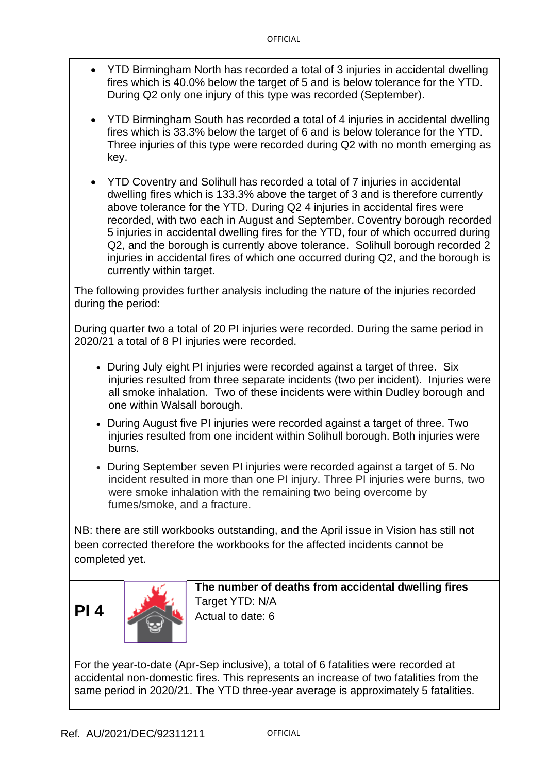- YTD Birmingham North has recorded a total of 3 injuries in accidental dwelling fires which is 40.0% below the target of 5 and is below tolerance for the YTD. During Q2 only one injury of this type was recorded (September).
- YTD Birmingham South has recorded a total of 4 injuries in accidental dwelling fires which is 33.3% below the target of 6 and is below tolerance for the YTD. Three injuries of this type were recorded during Q2 with no month emerging as key.

• YTD Coventry and Solihull has recorded a total of 7 injuries in accidental dwelling fires which is 133.3% above the target of 3 and is therefore currently above tolerance for the YTD. During Q2 4 injuries in accidental fires were recorded, with two each in August and September. Coventry borough recorded 5 injuries in accidental dwelling fires for the YTD, four of which occurred during Q2, and the borough is currently above tolerance. Solihull borough recorded 2 injuries in accidental fires of which one occurred during Q2, and the borough is currently within target.

The following provides further analysis including the nature of the injuries recorded during the period:

During quarter two a total of 20 PI injuries were recorded. During the same period in 2020/21 a total of 8 PI injuries were recorded.

- During July eight PI injuries were recorded against a target of three. Six injuries resulted from three separate incidents (two per incident). Injuries were all smoke inhalation. Two of these incidents were within Dudley borough and one within Walsall borough.
- During August five PI injuries were recorded against a target of three. Two injuries resulted from one incident within Solihull borough. Both injuries were burns.
- During September seven PI injuries were recorded against a target of 5. No incident resulted in more than one PI injury. Three PI injuries were burns, two were smoke inhalation with the remaining two being overcome by fumes/smoke, and a fracture.

NB: there are still workbooks outstanding, and the April issue in Vision has still not been corrected therefore the workbooks for the affected incidents cannot be completed yet.



**The number of deaths from accidental dwelling fires** Target YTD: N/A Actual to date: 6

For the year-to-date (Apr-Sep inclusive), a total of 6 fatalities were recorded at accidental non-domestic fires. This represents an increase of two fatalities from the same period in 2020/21. The YTD three-year average is approximately 5 fatalities.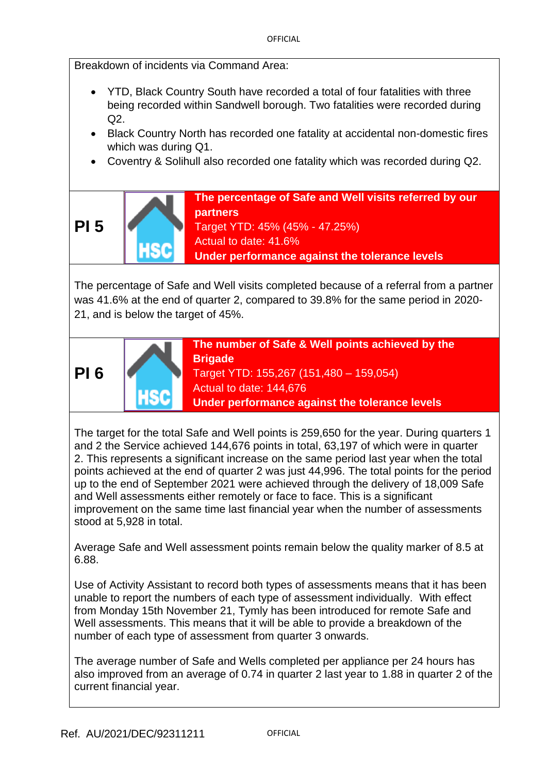Breakdown of incidents via Command Area:

- YTD, Black Country South have recorded a total of four fatalities with three being recorded within Sandwell borough. Two fatalities were recorded during  $O2$
- Black Country North has recorded one fatality at accidental non-domestic fires which was during Q1.
- Coventry & Solihull also recorded one fatality which was recorded during Q2.

**The percentage of Safe and Well visits referred by our partners** Target YTD: 45% (45% - 47.25%) Actual to date: 41.6%

**Under performance against the tolerance levels**

The percentage of Safe and Well visits completed because of a referral from a partner was 41.6% at the end of quarter 2, compared to 39.8% for the same period in 2020- 21, and is below the target of 45%.



**The number of Safe & Well points achieved by the Brigade** Target YTD: 155,267 (151,480 – 159,054) Actual to date: 144,676 **Under performance against the tolerance levels**

The target for the total Safe and Well points is 259,650 for the year. During quarters 1 and 2 the Service achieved 144,676 points in total, 63,197 of which were in quarter 2. This represents a significant increase on the same period last year when the total points achieved at the end of quarter 2 was just 44,996. The total points for the period up to the end of September 2021 were achieved through the delivery of 18,009 Safe and Well assessments either remotely or face to face. This is a significant improvement on the same time last financial year when the number of assessments stood at 5,928 in total.

Average Safe and Well assessment points remain below the quality marker of 8.5 at 6.88.

Use of Activity Assistant to record both types of assessments means that it has been unable to report the numbers of each type of assessment individually. With effect from Monday 15th November 21, Tymly has been introduced for remote Safe and Well assessments. This means that it will be able to provide a breakdown of the number of each type of assessment from quarter 3 onwards.

The average number of Safe and Wells completed per appliance per 24 hours has also improved from an average of 0.74 in quarter 2 last year to 1.88 in quarter 2 of the current financial year.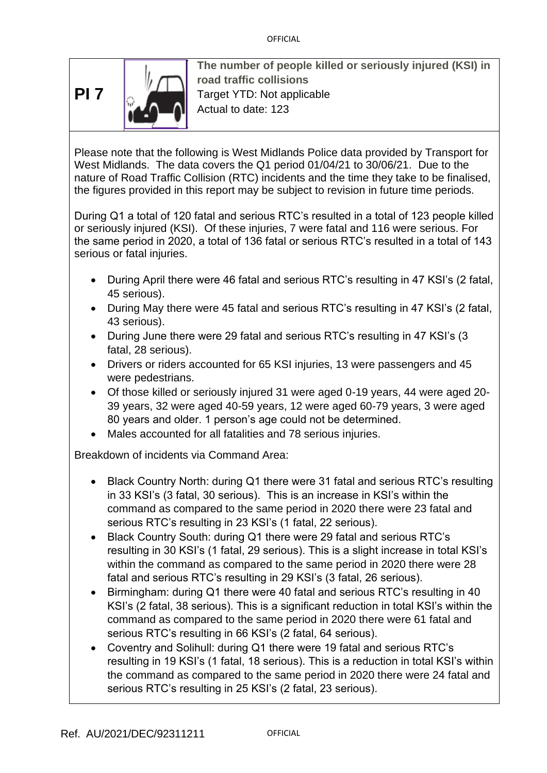**PI 7**



**The number of people killed or seriously injured (KSI) in road traffic collisions** Target YTD: Not applicable Actual to date: 123

Please note that the following is West Midlands Police data provided by Transport for West Midlands. The data covers the Q1 period 01/04/21 to 30/06/21. Due to the nature of Road Traffic Collision (RTC) incidents and the time they take to be finalised, the figures provided in this report may be subject to revision in future time periods.

During Q1 a total of 120 fatal and serious RTC's resulted in a total of 123 people killed or seriously injured (KSI). Of these injuries, 7 were fatal and 116 were serious. For the same period in 2020, a total of 136 fatal or serious RTC's resulted in a total of 143 serious or fatal injuries.

- During April there were 46 fatal and serious RTC's resulting in 47 KSI's (2 fatal, 45 serious).
- During May there were 45 fatal and serious RTC's resulting in 47 KSI's (2 fatal, 43 serious).
- During June there were 29 fatal and serious RTC's resulting in 47 KSI's (3 fatal, 28 serious).
- Drivers or riders accounted for 65 KSI injuries, 13 were passengers and 45 were pedestrians.
- Of those killed or seriously injured 31 were aged 0-19 years, 44 were aged 20- 39 years, 32 were aged 40-59 years, 12 were aged 60-79 years, 3 were aged 80 years and older. 1 person's age could not be determined.
- Males accounted for all fatalities and 78 serious injuries.

Breakdown of incidents via Command Area:

- Black Country North: during Q1 there were 31 fatal and serious RTC's resulting in 33 KSI's (3 fatal, 30 serious). This is an increase in KSI's within the command as compared to the same period in 2020 there were 23 fatal and serious RTC's resulting in 23 KSI's (1 fatal, 22 serious).
- Black Country South: during Q1 there were 29 fatal and serious RTC's resulting in 30 KSI's (1 fatal, 29 serious). This is a slight increase in total KSI's within the command as compared to the same period in 2020 there were 28 fatal and serious RTC's resulting in 29 KSI's (3 fatal, 26 serious).
- Birmingham: during Q1 there were 40 fatal and serious RTC's resulting in 40 KSI's (2 fatal, 38 serious). This is a significant reduction in total KSI's within the command as compared to the same period in 2020 there were 61 fatal and serious RTC's resulting in 66 KSI's (2 fatal, 64 serious).
- Coventry and Solihull: during Q1 there were 19 fatal and serious RTC's resulting in 19 KSI's (1 fatal, 18 serious). This is a reduction in total KSI's within the command as compared to the same period in 2020 there were 24 fatal and serious RTC's resulting in 25 KSI's (2 fatal, 23 serious).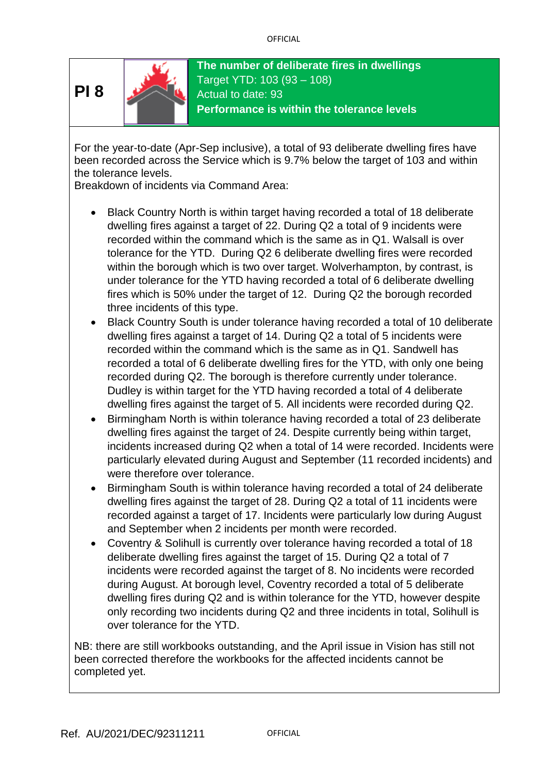

**The number of deliberate fires in dwellings** Target YTD: 103 (93 – 108) Actual to date: 93 **Performance is within the tolerance levels**

For the year-to-date (Apr-Sep inclusive), a total of 93 deliberate dwelling fires have been recorded across the Service which is 9.7% below the target of 103 and within the tolerance levels.

Breakdown of incidents via Command Area:

- Black Country North is within target having recorded a total of 18 deliberate dwelling fires against a target of 22. During Q2 a total of 9 incidents were recorded within the command which is the same as in Q1. Walsall is over tolerance for the YTD. During Q2 6 deliberate dwelling fires were recorded within the borough which is two over target. Wolverhampton, by contrast, is under tolerance for the YTD having recorded a total of 6 deliberate dwelling fires which is 50% under the target of 12. During Q2 the borough recorded three incidents of this type.
- Black Country South is under tolerance having recorded a total of 10 deliberate dwelling fires against a target of 14. During Q2 a total of 5 incidents were recorded within the command which is the same as in Q1. Sandwell has recorded a total of 6 deliberate dwelling fires for the YTD, with only one being recorded during Q2. The borough is therefore currently under tolerance. Dudley is within target for the YTD having recorded a total of 4 deliberate dwelling fires against the target of 5. All incidents were recorded during Q2.
- Birmingham North is within tolerance having recorded a total of 23 deliberate dwelling fires against the target of 24. Despite currently being within target, incidents increased during Q2 when a total of 14 were recorded. Incidents were particularly elevated during August and September (11 recorded incidents) and were therefore over tolerance.
- Birmingham South is within tolerance having recorded a total of 24 deliberate dwelling fires against the target of 28. During Q2 a total of 11 incidents were recorded against a target of 17. Incidents were particularly low during August and September when 2 incidents per month were recorded.
- Coventry & Solihull is currently over tolerance having recorded a total of 18 deliberate dwelling fires against the target of 15. During Q2 a total of 7 incidents were recorded against the target of 8. No incidents were recorded during August. At borough level, Coventry recorded a total of 5 deliberate dwelling fires during Q2 and is within tolerance for the YTD, however despite only recording two incidents during Q2 and three incidents in total, Solihull is over tolerance for the YTD.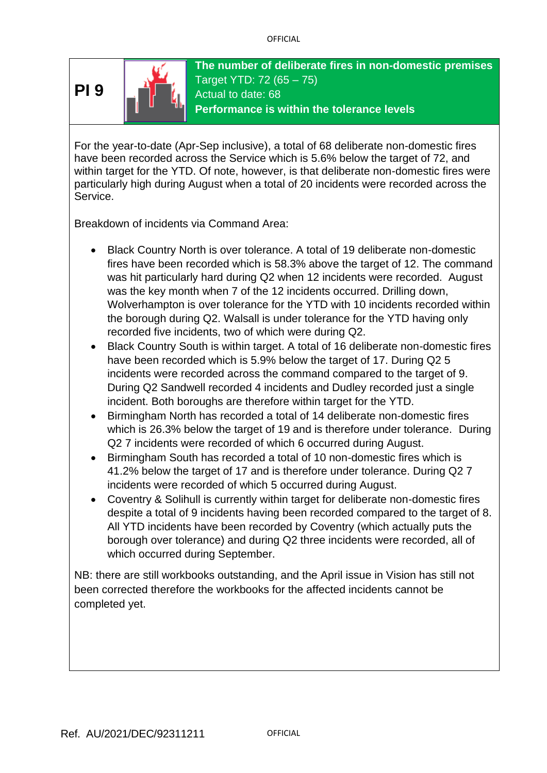

**The number of deliberate fires in non-domestic premises** Target YTD: 72 (65 – 75) Actual to date: 68 **Performance is within the tolerance levels**

For the year-to-date (Apr-Sep inclusive), a total of 68 deliberate non-domestic fires have been recorded across the Service which is 5.6% below the target of 72, and within target for the YTD. Of note, however, is that deliberate non-domestic fires were particularly high during August when a total of 20 incidents were recorded across the Service.

Breakdown of incidents via Command Area:

- Black Country North is over tolerance. A total of 19 deliberate non-domestic fires have been recorded which is 58.3% above the target of 12. The command was hit particularly hard during Q2 when 12 incidents were recorded. August was the key month when 7 of the 12 incidents occurred. Drilling down, Wolverhampton is over tolerance for the YTD with 10 incidents recorded within the borough during Q2. Walsall is under tolerance for the YTD having only recorded five incidents, two of which were during Q2.
- Black Country South is within target. A total of 16 deliberate non-domestic fires have been recorded which is 5.9% below the target of 17. During Q2 5 incidents were recorded across the command compared to the target of 9. During Q2 Sandwell recorded 4 incidents and Dudley recorded just a single incident. Both boroughs are therefore within target for the YTD.
- Birmingham North has recorded a total of 14 deliberate non-domestic fires which is 26.3% below the target of 19 and is therefore under tolerance. During Q2 7 incidents were recorded of which 6 occurred during August.
- Birmingham South has recorded a total of 10 non-domestic fires which is 41.2% below the target of 17 and is therefore under tolerance. During Q2 7 incidents were recorded of which 5 occurred during August.
- Coventry & Solihull is currently within target for deliberate non-domestic fires despite a total of 9 incidents having been recorded compared to the target of 8. All YTD incidents have been recorded by Coventry (which actually puts the borough over tolerance) and during Q2 three incidents were recorded, all of which occurred during September.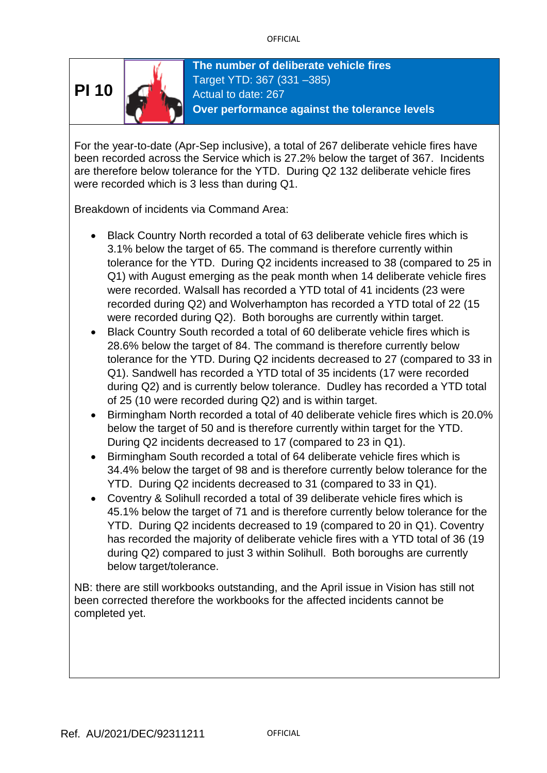

**The number of deliberate vehicle fires** Target YTD: 367 (331 –385) Actual to date: 267 **Over performance against the tolerance levels**

For the year-to-date (Apr-Sep inclusive), a total of 267 deliberate vehicle fires have been recorded across the Service which is 27.2% below the target of 367. Incidents are therefore below tolerance for the YTD. During Q2 132 deliberate vehicle fires were recorded which is 3 less than during Q1.

Breakdown of incidents via Command Area:

- Black Country North recorded a total of 63 deliberate vehicle fires which is 3.1% below the target of 65. The command is therefore currently within tolerance for the YTD. During Q2 incidents increased to 38 (compared to 25 in Q1) with August emerging as the peak month when 14 deliberate vehicle fires were recorded. Walsall has recorded a YTD total of 41 incidents (23 were recorded during Q2) and Wolverhampton has recorded a YTD total of 22 (15 were recorded during Q2). Both boroughs are currently within target.
- Black Country South recorded a total of 60 deliberate vehicle fires which is 28.6% below the target of 84. The command is therefore currently below tolerance for the YTD. During Q2 incidents decreased to 27 (compared to 33 in Q1). Sandwell has recorded a YTD total of 35 incidents (17 were recorded during Q2) and is currently below tolerance. Dudley has recorded a YTD total of 25 (10 were recorded during Q2) and is within target.
- Birmingham North recorded a total of 40 deliberate vehicle fires which is 20.0% below the target of 50 and is therefore currently within target for the YTD. During Q2 incidents decreased to 17 (compared to 23 in Q1).
- Birmingham South recorded a total of 64 deliberate vehicle fires which is 34.4% below the target of 98 and is therefore currently below tolerance for the YTD. During Q2 incidents decreased to 31 (compared to 33 in Q1).
- Coventry & Solihull recorded a total of 39 deliberate vehicle fires which is 45.1% below the target of 71 and is therefore currently below tolerance for the YTD. During Q2 incidents decreased to 19 (compared to 20 in Q1). Coventry has recorded the majority of deliberate vehicle fires with a YTD total of 36 (19 during Q2) compared to just 3 within Solihull. Both boroughs are currently below target/tolerance.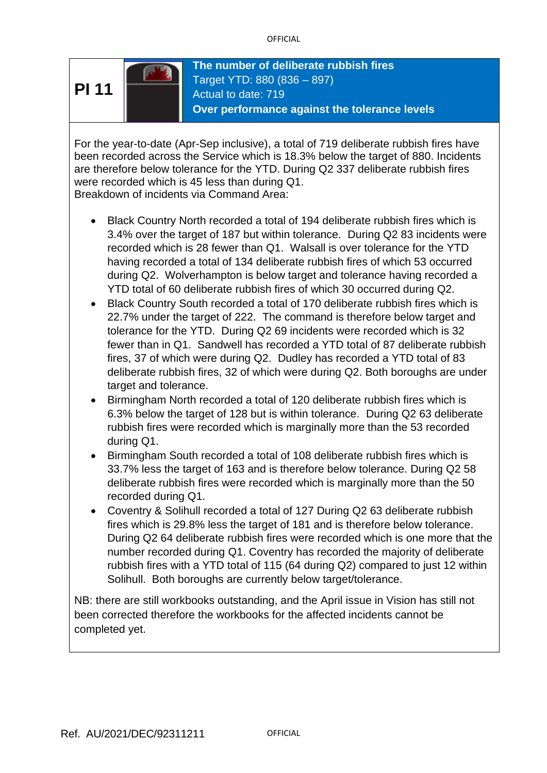

**The number of deliberate rubbish fires** Target YTD: 880 (836 – 897) Actual to date: 719 **Over performance against the tolerance levels**

For the year-to-date (Apr-Sep inclusive), a total of 719 deliberate rubbish fires have been recorded across the Service which is 18.3% below the target of 880. Incidents are therefore below tolerance for the YTD. During Q2 337 deliberate rubbish fires were recorded which is 45 less than during Q1.

Breakdown of incidents via Command Area:

- Black Country North recorded a total of 194 deliberate rubbish fires which is 3.4% over the target of 187 but within tolerance. During Q2 83 incidents were recorded which is 28 fewer than Q1. Walsall is over tolerance for the YTD having recorded a total of 134 deliberate rubbish fires of which 53 occurred during Q2. Wolverhampton is below target and tolerance having recorded a YTD total of 60 deliberate rubbish fires of which 30 occurred during Q2.
- Black Country South recorded a total of 170 deliberate rubbish fires which is 22.7% under the target of 222. The command is therefore below target and tolerance for the YTD. During Q2 69 incidents were recorded which is 32 fewer than in Q1. Sandwell has recorded a YTD total of 87 deliberate rubbish fires, 37 of which were during Q2. Dudley has recorded a YTD total of 83 deliberate rubbish fires, 32 of which were during Q2. Both boroughs are under target and tolerance.
- Birmingham North recorded a total of 120 deliberate rubbish fires which is 6.3% below the target of 128 but is within tolerance. During Q2 63 deliberate rubbish fires were recorded which is marginally more than the 53 recorded during Q1.
- Birmingham South recorded a total of 108 deliberate rubbish fires which is 33.7% less the target of 163 and is therefore below tolerance. During Q2 58 deliberate rubbish fires were recorded which is marginally more than the 50 recorded during Q1.
- Coventry & Solihull recorded a total of 127 During Q2 63 deliberate rubbish fires which is 29.8% less the target of 181 and is therefore below tolerance. During Q2 64 deliberate rubbish fires were recorded which is one more that the number recorded during Q1. Coventry has recorded the majority of deliberate rubbish fires with a YTD total of 115 (64 during Q2) compared to just 12 within Solihull. Both boroughs are currently below target/tolerance.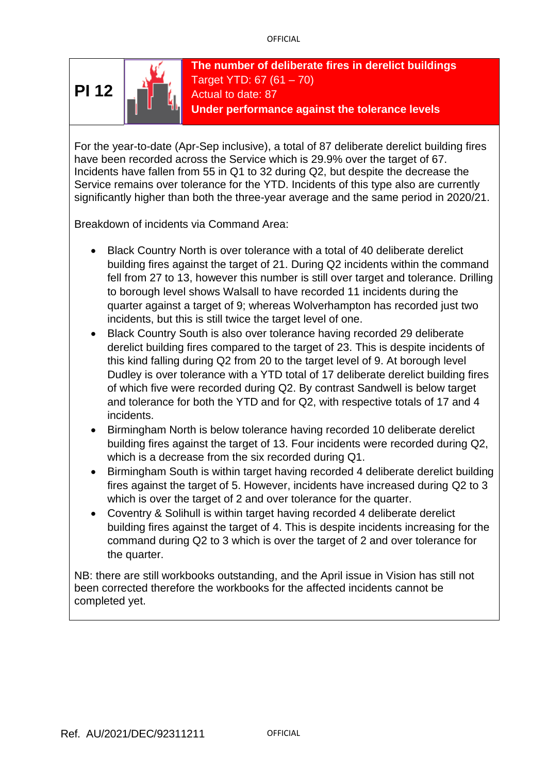

**The number of deliberate fires in derelict buildings** Target YTD: 67 (61 – 70) Actual to date: 87 **Under performance against the tolerance levels**

For the year-to-date (Apr-Sep inclusive), a total of 87 deliberate derelict building fires have been recorded across the Service which is 29.9% over the target of 67. Incidents have fallen from 55 in Q1 to 32 during Q2, but despite the decrease the Service remains over tolerance for the YTD. Incidents of this type also are currently significantly higher than both the three-year average and the same period in 2020/21.

Breakdown of incidents via Command Area:

- Black Country North is over tolerance with a total of 40 deliberate derelict building fires against the target of 21. During Q2 incidents within the command fell from 27 to 13, however this number is still over target and tolerance. Drilling to borough level shows Walsall to have recorded 11 incidents during the quarter against a target of 9; whereas Wolverhampton has recorded just two incidents, but this is still twice the target level of one.
- Black Country South is also over tolerance having recorded 29 deliberate derelict building fires compared to the target of 23. This is despite incidents of this kind falling during Q2 from 20 to the target level of 9. At borough level Dudley is over tolerance with a YTD total of 17 deliberate derelict building fires of which five were recorded during Q2. By contrast Sandwell is below target and tolerance for both the YTD and for Q2, with respective totals of 17 and 4 incidents.
- Birmingham North is below tolerance having recorded 10 deliberate derelict building fires against the target of 13. Four incidents were recorded during Q2, which is a decrease from the six recorded during Q1.
- Birmingham South is within target having recorded 4 deliberate derelict building fires against the target of 5. However, incidents have increased during Q2 to 3 which is over the target of 2 and over tolerance for the quarter.
- Coventry & Solihull is within target having recorded 4 deliberate derelict building fires against the target of 4. This is despite incidents increasing for the command during Q2 to 3 which is over the target of 2 and over tolerance for the quarter.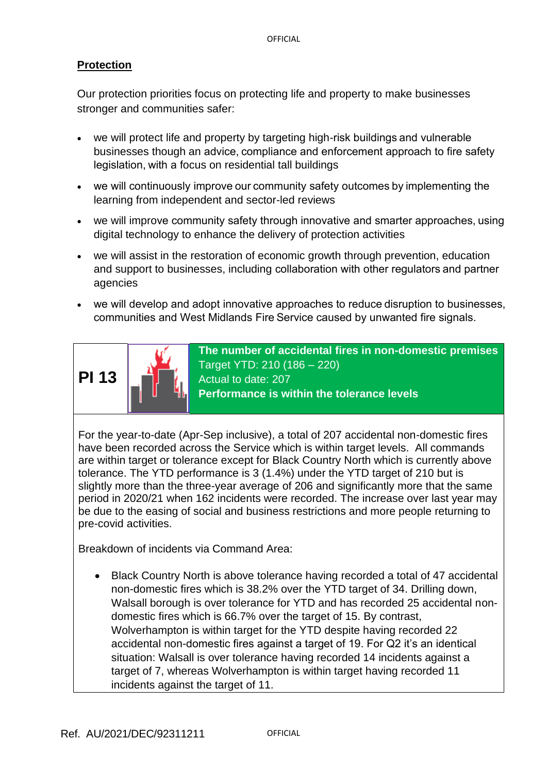#### **Protection**

Our protection priorities focus on protecting life and property to make businesses stronger and communities safer:

- we will protect life and property by targeting high-risk buildings and vulnerable businesses though an advice, compliance and enforcement approach to fire safety legislation, with a focus on residential tall buildings
- we will continuously improve our community safety outcomes by implementing the learning from independent and sector-led reviews
- we will improve community safety through innovative and smarter approaches, using digital technology to enhance the delivery of protection activities
- we will assist in the restoration of economic growth through prevention, education and support to businesses, including collaboration with other regulators and partner agencies
- we will develop and adopt innovative approaches to reduce disruption to businesses, communities and West Midlands Fire Service caused by unwanted fire signals.



**The number of accidental fires in non-domestic premises** Target YTD: 210 (186 – 220) Actual to date: 207 **Performance is within the tolerance levels**

For the year-to-date (Apr-Sep inclusive), a total of 207 accidental non-domestic fires have been recorded across the Service which is within target levels. All commands are within target or tolerance except for Black Country North which is currently above tolerance. The YTD performance is 3 (1.4%) under the YTD target of 210 but is slightly more than the three-year average of 206 and significantly more that the same period in 2020/21 when 162 incidents were recorded. The increase over last year may be due to the easing of social and business restrictions and more people returning to pre-covid activities.

Breakdown of incidents via Command Area:

• Black Country North is above tolerance having recorded a total of 47 accidental non-domestic fires which is 38.2% over the YTD target of 34. Drilling down, Walsall borough is over tolerance for YTD and has recorded 25 accidental nondomestic fires which is 66.7% over the target of 15. By contrast, Wolverhampton is within target for the YTD despite having recorded 22 accidental non-domestic fires against a target of 19. For Q2 it's an identical situation: Walsall is over tolerance having recorded 14 incidents against a target of 7, whereas Wolverhampton is within target having recorded 11 incidents against the target of 11.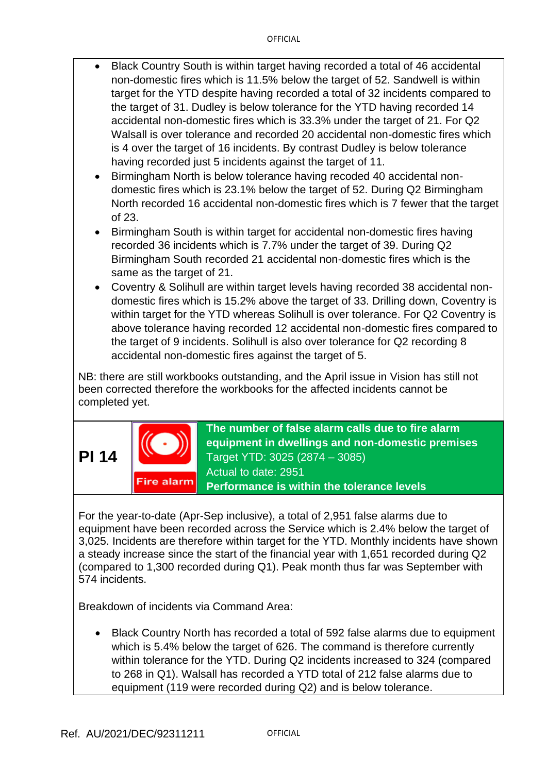- Black Country South is within target having recorded a total of 46 accidental non-domestic fires which is 11.5% below the target of 52. Sandwell is within target for the YTD despite having recorded a total of 32 incidents compared to the target of 31. Dudley is below tolerance for the YTD having recorded 14 accidental non-domestic fires which is 33.3% under the target of 21. For Q2 Walsall is over tolerance and recorded 20 accidental non-domestic fires which is 4 over the target of 16 incidents. By contrast Dudley is below tolerance having recorded just 5 incidents against the target of 11.
- Birmingham North is below tolerance having recoded 40 accidental nondomestic fires which is 23.1% below the target of 52. During Q2 Birmingham North recorded 16 accidental non-domestic fires which is 7 fewer that the target of 23.
- Birmingham South is within target for accidental non-domestic fires having recorded 36 incidents which is 7.7% under the target of 39. During Q2 Birmingham South recorded 21 accidental non-domestic fires which is the same as the target of 21.
- Coventry & Solihull are within target levels having recorded 38 accidental nondomestic fires which is 15.2% above the target of 33. Drilling down, Coventry is within target for the YTD whereas Solihull is over tolerance. For Q2 Coventry is above tolerance having recorded 12 accidental non-domestic fires compared to the target of 9 incidents. Solihull is also over tolerance for Q2 recording 8 accidental non-domestic fires against the target of 5.

NB: there are still workbooks outstanding, and the April issue in Vision has still not been corrected therefore the workbooks for the affected incidents cannot be completed yet.





**The number of false alarm calls due to fire alarm equipment in dwellings and non-domestic premises** Target YTD: 3025 (2874 – 3085) Actual to date: 2951 **Performance is within the tolerance levels**

For the year-to-date (Apr-Sep inclusive), a total of 2,951 false alarms due to equipment have been recorded across the Service which is 2.4% below the target of 3,025. Incidents are therefore within target for the YTD. Monthly incidents have shown a steady increase since the start of the financial year with 1,651 recorded during Q2 (compared to 1,300 recorded during Q1). Peak month thus far was September with 574 incidents.

Breakdown of incidents via Command Area:

• Black Country North has recorded a total of 592 false alarms due to equipment which is 5.4% below the target of 626. The command is therefore currently within tolerance for the YTD. During Q2 incidents increased to 324 (compared to 268 in Q1). Walsall has recorded a YTD total of 212 false alarms due to equipment (119 were recorded during Q2) and is below tolerance.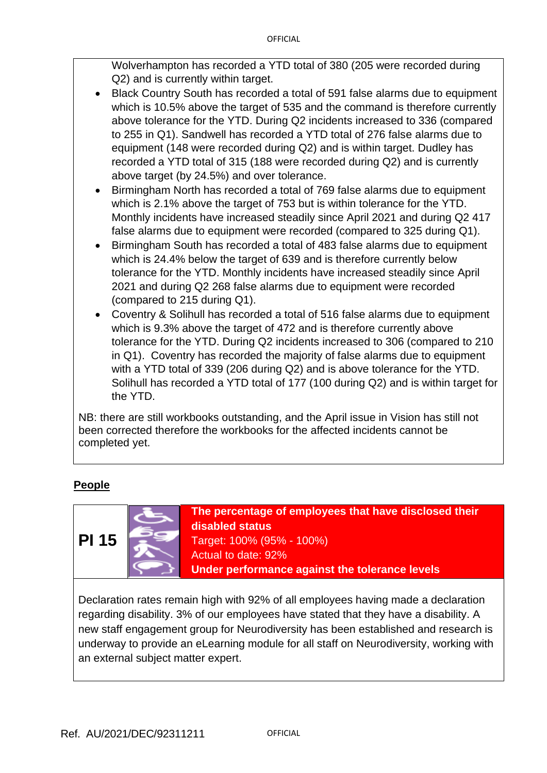Wolverhampton has recorded a YTD total of 380 (205 were recorded during Q2) and is currently within target.

- Black Country South has recorded a total of 591 false alarms due to equipment which is 10.5% above the target of 535 and the command is therefore currently above tolerance for the YTD. During Q2 incidents increased to 336 (compared to 255 in Q1). Sandwell has recorded a YTD total of 276 false alarms due to equipment (148 were recorded during Q2) and is within target. Dudley has recorded a YTD total of 315 (188 were recorded during Q2) and is currently above target (by 24.5%) and over tolerance.
- Birmingham North has recorded a total of 769 false alarms due to equipment which is 2.1% above the target of 753 but is within tolerance for the YTD. Monthly incidents have increased steadily since April 2021 and during Q2 417 false alarms due to equipment were recorded (compared to 325 during Q1).
- Birmingham South has recorded a total of 483 false alarms due to equipment which is 24.4% below the target of 639 and is therefore currently below tolerance for the YTD. Monthly incidents have increased steadily since April 2021 and during Q2 268 false alarms due to equipment were recorded (compared to 215 during Q1).
- Coventry & Solihull has recorded a total of 516 false alarms due to equipment which is 9.3% above the target of 472 and is therefore currently above tolerance for the YTD. During Q2 incidents increased to 306 (compared to 210 in Q1). Coventry has recorded the majority of false alarms due to equipment with a YTD total of 339 (206 during Q2) and is above tolerance for the YTD. Solihull has recorded a YTD total of 177 (100 during Q2) and is within target for the YTD.

NB: there are still workbooks outstanding, and the April issue in Vision has still not been corrected therefore the workbooks for the affected incidents cannot be completed yet.

## **People**



**The percentage of employees that have disclosed their disabled status** Target: 100% (95% - 100%) Actual to date: 92%

**Under performance against the tolerance levels**

Declaration rates remain high with 92% of all employees having made a declaration regarding disability. 3% of our employees have stated that they have a disability. A new staff engagement group for Neurodiversity has been established and research is underway to provide an eLearning module for all staff on Neurodiversity, working with an external subject matter expert.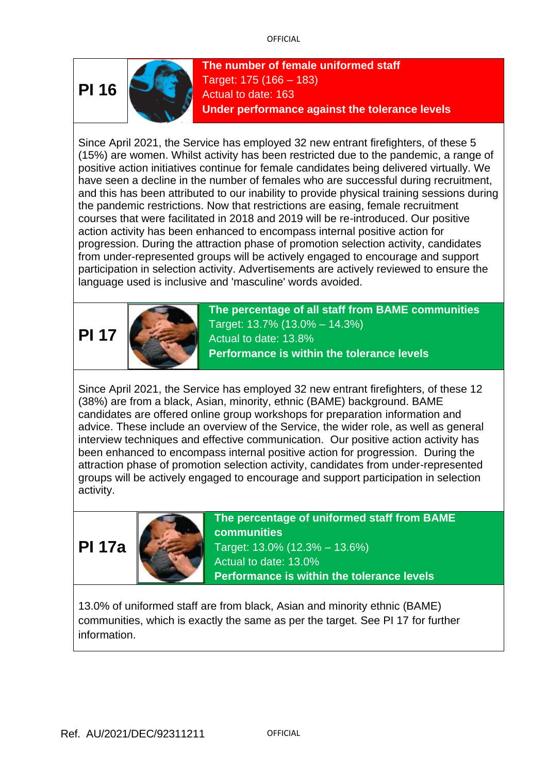

**The number of female uniformed staff** Target: 175 (166 – 183) Actual to date: 163 **Under performance against the tolerance levels**

Since April 2021, the Service has employed 32 new entrant firefighters, of these 5 (15%) are women. Whilst activity has been restricted due to the pandemic, a range of positive action initiatives continue for female candidates being delivered virtually. We have seen a decline in the number of females who are successful during recruitment, and this has been attributed to our inability to provide physical training sessions during the pandemic restrictions. Now that restrictions are easing, female recruitment courses that were facilitated in 2018 and 2019 will be re-introduced. Our positive action activity has been enhanced to encompass internal positive action for progression. During the attraction phase of promotion selection activity, candidates from under-represented groups will be actively engaged to encourage and support participation in selection activity. Advertisements are actively reviewed to ensure the language used is inclusive and 'masculine' words avoided.

# **PI 17**



**The percentage of all staff from BAME communities** Target: 13.7% (13.0% – 14.3%) Actual to date: 13.8% **Performance is within the tolerance levels**

Since April 2021, the Service has employed 32 new entrant firefighters, of these 12 (38%) are from a black, Asian, minority, ethnic (BAME) background. BAME candidates are offered online group workshops for preparation information and advice. These include an overview of the Service, the wider role, as well as general interview techniques and effective communication. Our positive action activity has been enhanced to encompass internal positive action for progression. During the attraction phase of promotion selection activity, candidates from under-represented groups will be actively engaged to encourage and support participation in selection activity.





**The percentage of uniformed staff from BAME communities** Target: 13.0% (12.3% – 13.6%) Actual to date: 13.0% **Performance is within the tolerance levels**

13.0% of uniformed staff are from black, Asian and minority ethnic (BAME) communities, which is exactly the same as per the target. See PI 17 for further information.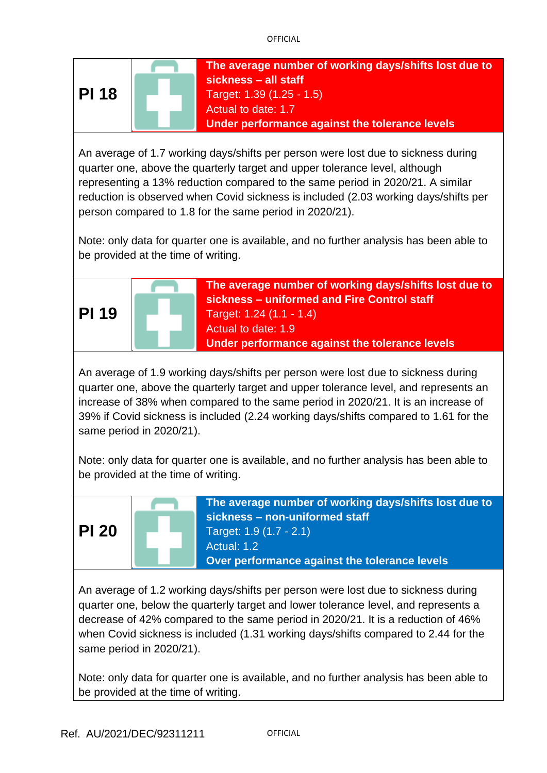

An average of 1.7 working days/shifts per person were lost due to sickness during quarter one, above the quarterly target and upper tolerance level, although representing a 13% reduction compared to the same period in 2020/21. A similar reduction is observed when Covid sickness is included (2.03 working days/shifts per person compared to 1.8 for the same period in 2020/21).

Note: only data for quarter one is available, and no further analysis has been able to be provided at the time of writing.



An average of 1.9 working days/shifts per person were lost due to sickness during quarter one, above the quarterly target and upper tolerance level, and represents an increase of 38% when compared to the same period in 2020/21. It is an increase of 39% if Covid sickness is included (2.24 working days/shifts compared to 1.61 for the same period in 2020/21).

Note: only data for quarter one is available, and no further analysis has been able to be provided at the time of writing.



**The average number of working days/shifts lost due to sickness – non-uniformed staff** Target: 1.9 (1.7 - 2.1) Actual: 1.2 **Over performance against the tolerance levels**

An average of 1.2 working days/shifts per person were lost due to sickness during quarter one, below the quarterly target and lower tolerance level, and represents a decrease of 42% compared to the same period in 2020/21. It is a reduction of 46% when Covid sickness is included (1.31 working days/shifts compared to 2.44 for the same period in 2020/21).

Note: only data for quarter one is available, and no further analysis has been able to be provided at the time of writing.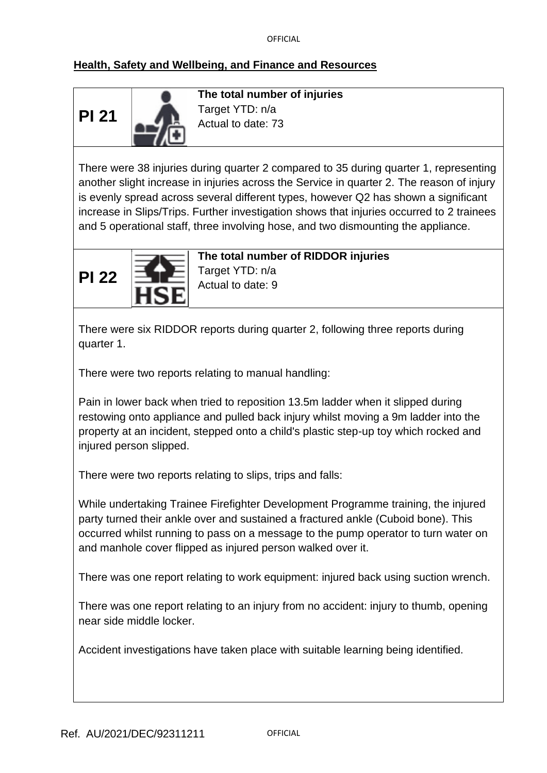# **Health, Safety and Wellbeing, and Finance and Resources**

**PI 21**



**The total number of injuries** Target YTD: n/a Actual to date: 73

There were 38 injuries during quarter 2 compared to 35 during quarter 1, representing another slight increase in injuries across the Service in quarter 2. The reason of injury is evenly spread across several different types, however Q2 has shown a significant increase in Slips/Trips. Further investigation shows that injuries occurred to 2 trainees and 5 operational staff, three involving hose, and two dismounting the appliance.



**The total number of RIDDOR injuries**

Target YTD: n/a Actual to date: 9

There were six RIDDOR reports during quarter 2, following three reports during quarter 1.

There were two reports relating to manual handling:

Pain in lower back when tried to reposition 13.5m ladder when it slipped during restowing onto appliance and pulled back injury whilst moving a 9m ladder into the property at an incident, stepped onto a child's plastic step-up toy which rocked and injured person slipped.

There were two reports relating to slips, trips and falls:

While undertaking Trainee Firefighter Development Programme training, the injured party turned their ankle over and sustained a fractured ankle (Cuboid bone). This occurred whilst running to pass on a message to the pump operator to turn water on and manhole cover flipped as injured person walked over it.

There was one report relating to work equipment: injured back using suction wrench.

There was one report relating to an injury from no accident: injury to thumb, opening near side middle locker.

Accident investigations have taken place with suitable learning being identified.